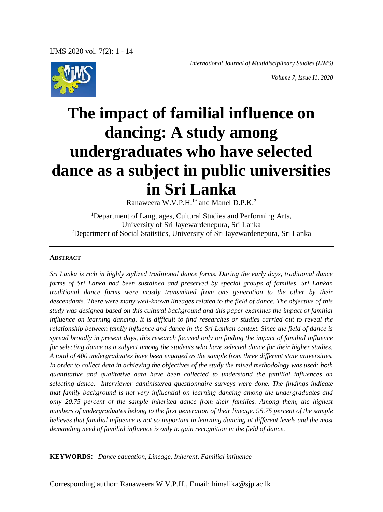*International Journal of Multidisciplinary Studies (IJMS)*



*Volume 7, Issue I1, 2020*

# **The impact of familial influence on dancing: A study among undergraduates who have selected dance as a subject in public universities in Sri Lanka**

Ranaweera W.V.P.H.<sup>1\*</sup> and Manel D.P.K.<sup>2</sup>

<sup>1</sup>Department of Languages, Cultural Studies and Performing Arts, University of Sri Jayewardenepura, Sri Lanka <sup>2</sup>Department of Social Statistics, University of Sri Jayewardenepura, Sri Lanka

#### **ABSTRACT**

*Sri Lanka is rich in highly stylized traditional dance forms. During the early days, traditional dance forms of Sri Lanka had been sustained and preserved by special groups of families. Sri Lankan traditional dance forms were mostly transmitted from one generation to the other by their descendants. There were many well-known lineages related to the field of dance. The objective of this study was designed based on this cultural background and this paper examines the impact of familial influence on learning dancing. It is difficult to find researches or studies carried out to reveal the relationship between family influence and dance in the Sri Lankan context. Since the field of dance is spread broadly in present days, this research focused only on finding the impact of familial influence for selecting dance as a subject among the students who have selected dance for their higher studies. A total of 400 undergraduates have been engaged as the sample from three different state universities. In order to collect data in achieving the objectives of the study the mixed methodology was used: both quantitative and qualitative data have been collected to understand the familial influences on selecting dance. Interviewer administered questionnaire surveys were done. The findings indicate that family background is not very influential on learning dancing among the undergraduates and only 20.75 percent of the sample inherited dance from their families. Among them, the highest numbers of undergraduates belong to the first generation of their lineage. 95.75 percent of the sample believes that familial influence is not so important in learning dancing at different levels and the most demanding need of familial influence is only to gain recognition in the field of dance.*

**KEYWORDS:** *Dance education, Lineage, Inherent, Familial influence*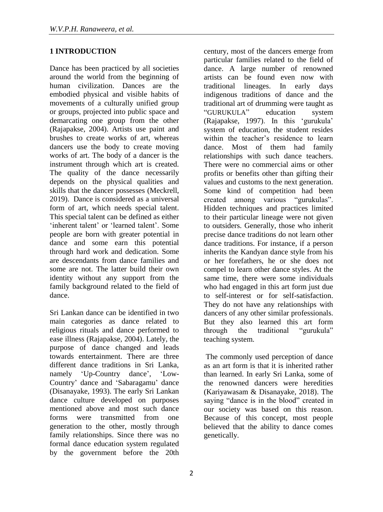# **1 INTRODUCTION**

Dance has been practiced by all societies around the world from the beginning of human civilization. Dances are the embodied physical and visible habits of movements of a culturally unified group or groups, projected into public space and demarcating one group from the other (Rajapakse, 2004). Artists use paint and brushes to create works of art, whereas dancers use the body to create moving works of art. The body of a dancer is the instrument through which art is created. The quality of the dance necessarily depends on the physical qualities and skills that the dancer possesses (Meckrell, 2019). Dance is considered as a universal form of art, which needs special talent. This special talent can be defined as either 'inherent talent' or 'learned talent'. Some people are born with greater potential in dance and some earn this potential through hard work and dedication. Some are descendants from dance families and some are not. The latter build their own identity without any support from the family background related to the field of dance.

Sri Lankan dance can be identified in two main categories as dance related to religious rituals and dance performed to ease illness (Rajapakse, 2004). Lately, the purpose of dance changed and leads towards entertainment. There are three different dance traditions in Sri Lanka, namely 'Up-Country dance', 'Low-Country' dance and 'Sabaragamu' dance (Disanayake, 1993). The early Sri Lankan dance culture developed on purposes mentioned above and most such dance forms were transmitted from one generation to the other, mostly through family relationships. Since there was no formal dance education system regulated by the government before the 20th century, most of the dancers emerge from particular families related to the field of dance. A large number of renowned artists can be found even now with traditional lineages. In early days indigenous traditions of dance and the traditional art of drumming were taught as "GURUKULA" education system (Rajapakse, 1997). In this 'gurukula' system of education, the student resides within the teacher's residence to learn dance. Most of them had family relationships with such dance teachers. There were no commercial aims or other profits or benefits other than gifting their values and customs to the next generation. Some kind of competition had been created among various "gurukulas". Hidden techniques and practices limited to their particular lineage were not given to outsiders. Generally, those who inherit precise dance traditions do not learn other dance traditions. For instance, if a person inherits the Kandyan dance style from his or her forefathers, he or she does not compel to learn other dance styles. At the same time, there were some individuals who had engaged in this art form just due to self-interest or for self-satisfaction. They do not have any relationships with dancers of any other similar professionals. But they also learned this art form through the traditional "gurukula" teaching system.

The commonly used perception of dance as an art form is that it is inherited rather than learned. In early Sri Lanka, some of the renowned dancers were heredities (Kariyawasam & Disanayake, 2018). The saying "dance is in the blood" created in our society was based on this reason. Because of this concept, most people believed that the ability to dance comes genetically.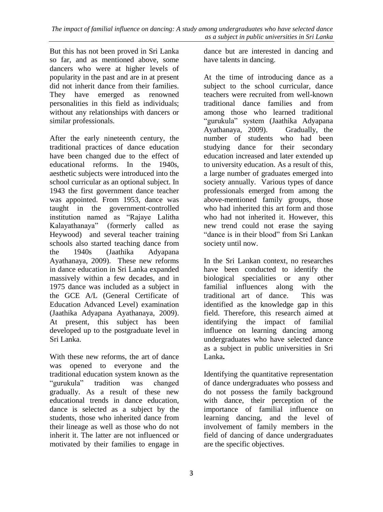But this has not been proved in Sri Lanka so far, and as mentioned above, some dancers who were at higher levels of popularity in the past and are in at present did not inherit dance from their families. They have emerged as renowned personalities in this field as individuals; without any relationships with dancers or similar professionals.

After the early nineteenth century, the traditional practices of dance education have been changed due to the effect of educational reforms. In the 1940s, aesthetic subjects were introduced into the school curricular as an optional subject. In 1943 the first government dance teacher was appointed. From 1953, dance was taught in the government-controlled institution named as "Rajaye Lalitha Kalayathanaya" (formerly called as Heywood) and several teacher training schools also started teaching dance from the 1940s (Jaathika Adyapana Ayathanaya, 2009). These new reforms in dance education in Sri Lanka expanded massively within a few decades, and in 1975 dance was included as a subject in the GCE A/L (General Certificate of Education Advanced Level) examination (Jaathika Adyapana Ayathanaya, 2009). At present, this subject has been developed up to the postgraduate level in Sri Lanka.

With these new reforms, the art of dance was opened to everyone and the traditional education system known as the "gurukula" tradition was changed gradually. As a result of these new educational trends in dance education, dance is selected as a subject by the students, those who inherited dance from their lineage as well as those who do not inherit it. The latter are not influenced or motivated by their families to engage in dance but are interested in dancing and have talents in dancing.

At the time of introducing dance as a subject to the school curricular, dance teachers were recruited from well-known traditional dance families and from among those who learned traditional "gurukula" system (Jaathika Adyapana Ayathanaya, 2009). Gradually, the number of students who had been studying dance for their secondary education increased and later extended up to university education. As a result of this, a large number of graduates emerged into society annually. Various types of dance professionals emerged from among the above-mentioned family groups, those who had inherited this art form and those who had not inherited it. However, this new trend could not erase the saying "dance is in their blood" from Sri Lankan society until now.

In the Sri Lankan context, no researches have been conducted to identify the biological specialities or any other familial influences along with the traditional art of dance. This was identified as the knowledge gap in this field. Therefore, this research aimed at identifying the impact of familial influence on learning dancing among undergraduates who have selected dance as a subject in public universities in Sri Lanka**.** 

Identifying the quantitative representation of dance undergraduates who possess and do not possess the family background with dance, their perception of the importance of familial influence on learning dancing, and the level of involvement of family members in the field of dancing of dance undergraduates are the specific objectives.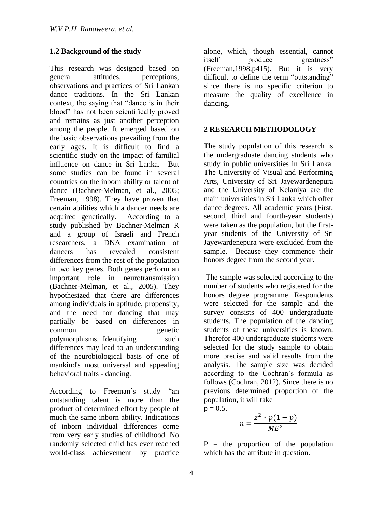# **1.2 Background of the study**

This research was designed based on general attitudes, perceptions, observations and practices of Sri Lankan dance traditions. In the Sri Lankan context, the saying that "dance is in their blood" has not been scientifically proved and remains as just another perception among the people. It emerged based on the basic observations prevailing from the early ages. It is difficult to find a scientific study on the impact of familial influence on dance in Sri Lanka. But some studies can be found in several countries on the inborn ability or talent of dance (Bachner-Melman, et al., 2005; Freeman, 1998). They have proven that certain abilities which a dancer needs are acquired genetically. According to a study published by Bachner-Melman R and a group of Israeli and French researchers, a DNA examination of dancers has revealed consistent differences from the rest of the population in two key genes. Both genes perform an important role in neurotransmission (Bachner-Melman, et al., 2005). They hypothesized that there are differences among individuals in aptitude, propensity, and the need for dancing that may partially be based on differences in common genetic polymorphisms. Identifying such differences may lead to an understanding of the neurobiological basis of one of mankind's most universal and appealing behavioral traits - dancing.

According to Freeman's study "an outstanding talent is more than the product of determined effort by people of much the same inborn ability. Indications of inborn individual differences come from very early studies of childhood. No randomly selected child has ever reached world-class achievement by practice alone, which, though essential, cannot itself produce greatness" (Freeman,1998,p415). But it is very difficult to define the term "outstanding" since there is no specific criterion to measure the quality of excellence in dancing.

# **2 RESEARCH METHODOLOGY**

The study population of this research is the undergraduate dancing students who study in public universities in Sri Lanka. The University of Visual and Performing Arts, University of Sri Jayewardenepura and the University of Kelaniya are the main universities in Sri Lanka which offer dance degrees. All academic years (First, second, third and fourth-year students) were taken as the population, but the firstyear students of the University of Sri Jayewardenepura were excluded from the sample. Because they commence their honors degree from the second year.

The sample was selected according to the number of students who registered for the honors degree programme. Respondents were selected for the sample and the survey consists of 400 undergraduate students. The population of the dancing students of these universities is known. Therefor 400 undergraduate students were selected for the study sample to obtain more precise and valid results from the analysis. The sample size was decided according to the Cochran's formula as follows (Cochran, 2012). Since there is no previous determined proportion of the population, it will take  $p = 0.5$ .

$$
n=\frac{z^2*p(1-p)}{ME^2}
$$

 $P =$  the proportion of the population which has the attribute in question.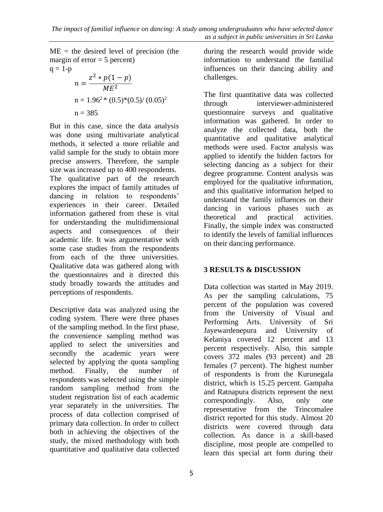$ME =$  the desired level of precision (the margin of  $error = 5$  percent)  $q = 1-p$ 2  $\frac{1}{2}$  (1)

$$
n = \frac{z^2 * p(1 - p)}{ME^2}
$$
  
n = 1.96<sup>2</sup> \* (0.5)\*(0.5)/(0.05)<sup>2</sup>  
n = 385

But in this case, since the data analysis was done using multivariate analytical methods, it selected a more reliable and valid sample for the study to obtain more precise answers. Therefore, the sample size was increased up to 400 respondents. The qualitative part of the research explores the impact of family attitudes of dancing in relation to respondents' experiences in their career. Detailed information gathered from these is vital for understanding the multidimensional aspects and consequences of their academic life. It was argumentative with some case studies from the respondents from each of the three universities. Qualitative data was gathered along with the questionnaires and it directed this study broadly towards the attitudes and perceptions of respondents.

Descriptive data was analyzed using the coding system. There were three phases of the sampling method. In the first phase, the convenience sampling method was applied to select the universities and secondly the academic years were selected by applying the quota sampling method. Finally, the number of respondents was selected using the simple random sampling method from the student registration list of each academic year separately in the universities. The process of data collection comprised of primary data collection. In order to collect both in achieving the objectives of the study, the mixed methodology with both quantitative and qualitative data collected

during the research would provide wide information to understand the familial influences on their dancing ability and challenges.

The first quantitative data was collected through interviewer-administered questionnaire surveys and qualitative information was gathered. In order to analyze the collected data, both the quantitative and qualitative analytical methods were used. Factor analysis was applied to identify the hidden factors for selecting dancing as a subject for their degree programme. Content analysis was employed for the qualitative information, and this qualitative information helped to understand the family influences on their dancing in various phases such as theoretical and practical activities. Finally, the simple index was constructed to identify the levels of familial influences on their dancing performance.

# **3 RESULTS & DISCUSSION**

Data collection was started in May 2019. As per the sampling calculations, 75 percent of the population was covered from the University of Visual and Performing Arts. University of Sri Jayewardenepura and University of Kelaniya covered 12 percent and 13 percent respectively. Also, this sample covers 372 males (93 percent) and 28 females (7 percent). The highest number of respondents is from the Kurunegala district, which is 15.25 percent. Gampaha and Ratnapura districts represent the next correspondingly. Also, only one representative from the Trincomalee district reported for this study. Almost 20 districts were covered through data collection. As dance is a skill-based discipline, most people are compelled to learn this special art form during their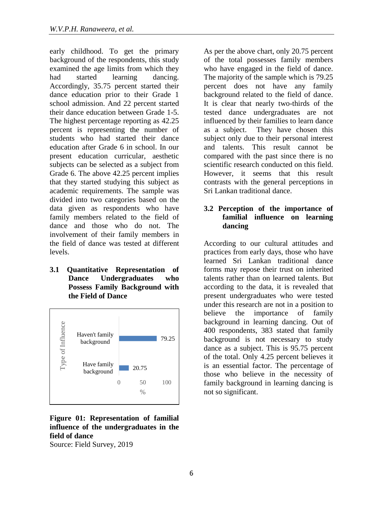early childhood. To get the primary background of the respondents, this study examined the age limits from which they had started learning dancing. Accordingly, 35.75 percent started their dance education prior to their Grade 1 school admission. And 22 percent started their dance education between Grade 1-5. The highest percentage reporting as 42.25 percent is representing the number of students who had started their dance education after Grade 6 in school. In our present education curricular, aesthetic subjects can be selected as a subject from Grade 6. The above 42.25 percent implies that they started studying this subject as academic requirements. The sample was divided into two categories based on the data given as respondents who have family members related to the field of dance and those who do not. The involvement of their family members in the field of dance was tested at different levels.

**3.1 Quantitative Representation of Dance Undergraduates who Possess Family Background with the Field of Dance**



# **Figure 01: Representation of familial influence of the undergraduates in the field of dance**

Source: Field Survey, 2019

As per the above chart, only 20.75 percent of the total possesses family members who have engaged in the field of dance. The majority of the sample which is 79.25 percent does not have any family background related to the field of dance. It is clear that nearly two-thirds of the tested dance undergraduates are not influenced by their families to learn dance as a subject. They have chosen this subject only due to their personal interest and talents. This result cannot be compared with the past since there is no scientific research conducted on this field. However, it seems that this result contrasts with the general perceptions in Sri Lankan traditional dance.

## **3.2 Perception of the importance of familial influence on learning dancing**

According to our cultural attitudes and practices from early days, those who have learned Sri Lankan traditional dance forms may repose their trust on inherited talents rather than on learned talents. But according to the data, it is revealed that present undergraduates who were tested under this research are not in a position to believe the importance of family background in learning dancing. Out of 400 respondents, 383 stated that family background is not necessary to study dance as a subject. This is 95.75 percent of the total. Only 4.25 percent believes it is an essential factor. The percentage of those who believe in the necessity of family background in learning dancing is not so significant.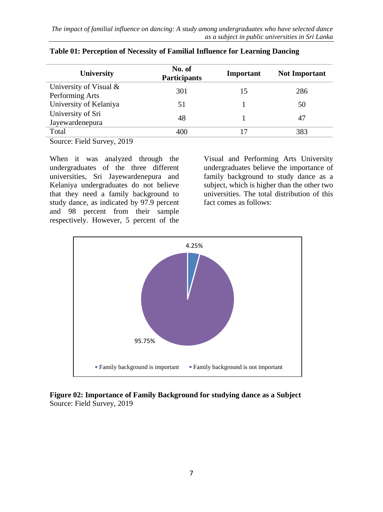| <b>University</b>         | No. of<br><b>Participants</b> | Important | <b>Not Important</b> |  |
|---------------------------|-------------------------------|-----------|----------------------|--|
| University of Visual $\&$ | 301                           | 15        | 286                  |  |
| Performing Arts           |                               |           |                      |  |
| University of Kelaniya    | 51                            |           | 50                   |  |
| University of Sri         | 48                            |           | 47                   |  |
| Jayewardenepura           |                               |           |                      |  |
| Total                     |                               |           | 383                  |  |
|                           |                               |           |                      |  |

|  |  | Table 01: Perception of Necessity of Familial Influence for Learning Dancing |
|--|--|------------------------------------------------------------------------------|
|  |  |                                                                              |

Source: Field Survey, 2019

When it was analyzed through the undergraduates of the three different universities, Sri Jayewardenepura and Kelaniya undergraduates do not believe that they need a family background to study dance, as indicated by 97.9 percent and 98 percent from their sample respectively. However, 5 percent of the

Visual and Performing Arts University undergraduates believe the importance of family background to study dance as a subject, which is higher than the other two universities. The total distribution of this fact comes as follows:



## **Figure 02: Importance of Family Background for studying dance as a Subject** Source: Field Survey, 2019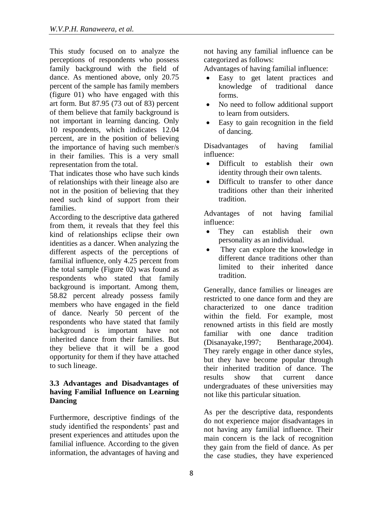This study focused on to analyze the perceptions of respondents who possess family background with the field of dance. As mentioned above, only 20.75 percent of the sample has family members (figure 01) who have engaged with this art form. But 87.95 (73 out of 83) percent of them believe that family background is not important in learning dancing. Only 10 respondents, which indicates 12.04 percent, are in the position of believing the importance of having such member/s in their families. This is a very small representation from the total.

That indicates those who have such kinds of relationships with their lineage also are not in the position of believing that they need such kind of support from their families.

According to the descriptive data gathered from them, it reveals that they feel this kind of relationships eclipse their own identities as a dancer. When analyzing the different aspects of the perceptions of familial influence, only 4.25 percent from the total sample (Figure 02) was found as respondents who stated that family background is important. Among them, 58.82 percent already possess family members who have engaged in the field of dance. Nearly 50 percent of the respondents who have stated that family background is important have not inherited dance from their families. But they believe that it will be a good opportunity for them if they have attached to such lineage.

## **3.3 Advantages and Disadvantages of having Familial Influence on Learning Dancing**

Furthermore, descriptive findings of the study identified the respondents' past and present experiences and attitudes upon the familial influence. According to the given information, the advantages of having and

not having any familial influence can be categorized as follows:

Advantages of having familial influence:

- Easy to get latent practices and knowledge of traditional dance forms.
- No need to follow additional support to learn from outsiders.
- Easy to gain recognition in the field of dancing.

Disadvantages of having familial influence:

- Difficult to establish their own identity through their own talents.
- Difficult to transfer to other dance traditions other than their inherited tradition.

Advantages of not having familial influence:

- They can establish their own personality as an individual.
- They can explore the knowledge in different dance traditions other than limited to their inherited dance tradition.

Generally, dance families or lineages are restricted to one dance form and they are characterized to one dance tradition within the field. For example, most renowned artists in this field are mostly familiar with one dance tradition (Disanayake,1997; Bentharage,2004). They rarely engage in other dance styles, but they have become popular through their inherited tradition of dance. The results show that current dance undergraduates of these universities may not like this particular situation.

As per the descriptive data, respondents do not experience major disadvantages in not having any familial influence. Their main concern is the lack of recognition they gain from the field of dance. As per the case studies, they have experienced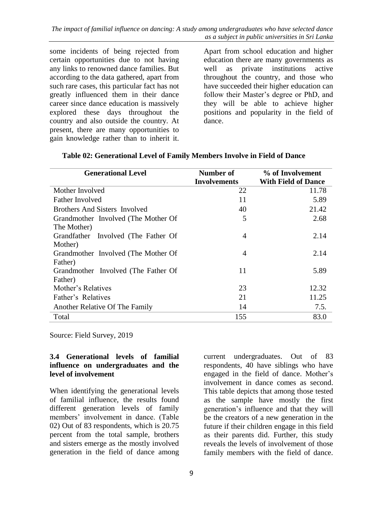some incidents of being rejected from certain opportunities due to not having any links to renowned dance families. But according to the data gathered, apart from such rare cases, this particular fact has not greatly influenced them in their dance career since dance education is massively explored these days throughout the country and also outside the country. At present, there are many opportunities to gain knowledge rather than to inherit it.

Apart from school education and higher education there are many governments as well as private institutions active throughout the country, and those who have succeeded their higher education can follow their Master's degree or PhD, and they will be able to achieve higher positions and popularity in the field of dance.

| <b>Generational Level</b>           | Number of           | % of Involvement           |  |  |
|-------------------------------------|---------------------|----------------------------|--|--|
|                                     | <b>Involvements</b> | <b>With Field of Dance</b> |  |  |
| Mother Involved                     | 22                  | 11.78                      |  |  |
| <b>Father Involved</b>              | 11                  | 5.89                       |  |  |
| Brothers And Sisters Involved       | 40                  | 21.42                      |  |  |
| Grandmother Involved (The Mother Of | 5                   | 2.68                       |  |  |
| The Mother)                         |                     |                            |  |  |
| Grandfather Involved (The Father Of | $\overline{4}$      | 2.14                       |  |  |
| Mother)                             |                     |                            |  |  |
| Grandmother Involved (The Mother Of | 4                   | 2.14                       |  |  |
| Father)                             |                     |                            |  |  |
| Grandmother Involved (The Father Of | 11                  | 5.89                       |  |  |
| Father)                             |                     |                            |  |  |
| Mother's Relatives                  | 23                  | 12.32                      |  |  |
| Father's Relatives                  | 21                  | 11.25                      |  |  |
| Another Relative Of The Family      | 14                  | 7.5.                       |  |  |
| Total                               | 155                 | 83.0                       |  |  |

#### **Table 02: Generational Level of Family Members Involve in Field of Dance**

Source: Field Survey, 2019

#### **3.4 Generational levels of familial influence on undergraduates and the level of involvement**

When identifying the generational levels of familial influence, the results found different generation levels of family members' involvement in dance. (Table 02) Out of 83 respondents, which is 20.75 percent from the total sample, brothers and sisters emerge as the mostly involved generation in the field of dance among current undergraduates. Out of 83 respondents, 40 have siblings who have engaged in the field of dance. Mother's involvement in dance comes as second. This table depicts that among those tested as the sample have mostly the first generation's influence and that they will be the creators of a new generation in the future if their children engage in this field as their parents did. Further, this study reveals the levels of involvement of those family members with the field of dance.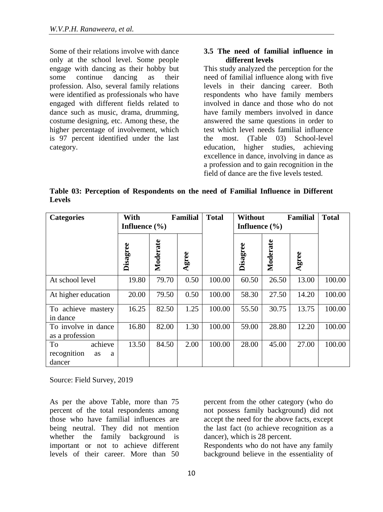Some of their relations involve with dance only at the school level. Some people engage with dancing as their hobby but some continue dancing as their profession. Also, several family relations were identified as professionals who have engaged with different fields related to dance such as music, drama, drumming, costume designing, etc. Among these, the higher percentage of involvement, which is 97 percent identified under the last category.

### **3.5 The need of familial influence in different levels**

This study analyzed the perception for the need of familial influence along with five levels in their dancing career. Both respondents who have family members involved in dance and those who do not have family members involved in dance answered the same questions in order to test which level needs familial influence the most. (Table 03) School-level education, higher studies, achieving excellence in dance, involving in dance as a profession and to gain recognition in the field of dance are the five levels tested.

**Table 03: Perception of Respondents on the need of Familial Influence in Different Levels**

| <b>Categories</b>                                 | With<br><b>Familial</b><br>Influence $(\% )$ |          | <b>Total</b> | <b>Without</b><br><b>Familial</b><br>Influence $(\% )$ |          |          | <b>Total</b> |        |
|---------------------------------------------------|----------------------------------------------|----------|--------------|--------------------------------------------------------|----------|----------|--------------|--------|
|                                                   | Disagree                                     | Moderate | Agree        |                                                        | Disagree | Moderate | Agree        |        |
| At school level                                   | 19.80                                        | 79.70    | 0.50         | 100.00                                                 | 60.50    | 26.50    | 13.00        | 100.00 |
| At higher education                               | 20.00                                        | 79.50    | 0.50         | 100.00                                                 | 58.30    | 27.50    | 14.20        | 100.00 |
| To achieve mastery<br>in dance                    | 16.25                                        | 82.50    | 1.25         | 100.00                                                 | 55.50    | 30.75    | 13.75        | 100.00 |
| To involve in dance<br>as a profession            | 16.80                                        | 82.00    | 1.30         | 100.00                                                 | 59.00    | 28.80    | 12.20        | 100.00 |
| achieve<br>To<br>recognition<br>as<br>a<br>dancer | 13.50                                        | 84.50    | 2.00         | 100.00                                                 | 28.00    | 45.00    | 27.00        | 100.00 |

Source: Field Survey, 2019

As per the above Table, more than 75 percent of the total respondents among those who have familial influences are being neutral. They did not mention whether the family background is important or not to achieve different levels of their career. More than 50 percent from the other category (who do not possess family background) did not accept the need for the above facts, except the last fact (to achieve recognition as a dancer), which is 28 percent.

Respondents who do not have any family background believe in the essentiality of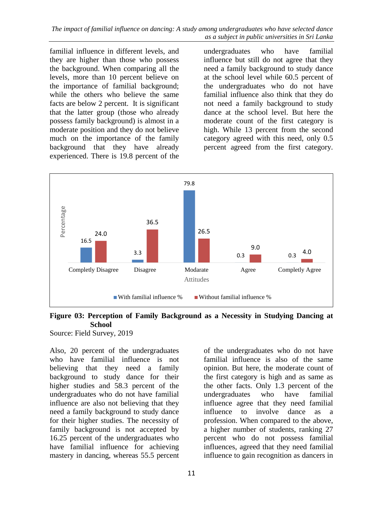familial influence in different levels, and they are higher than those who possess the background. When comparing all the levels, more than 10 percent believe on the importance of familial background; while the others who believe the same facts are below 2 percent. It is significant that the latter group (those who already possess family background) is almost in a moderate position and they do not believe much on the importance of the family background that they have already experienced. There is 19.8 percent of the

undergraduates who have familial influence but still do not agree that they need a family background to study dance at the school level while 60.5 percent of the undergraduates who do not have familial influence also think that they do not need a family background to study dance at the school level. But here the moderate count of the first category is high. While 13 percent from the second category agreed with this need, only 0.5 percent agreed from the first category.



## **Figure 03: Perception of Family Background as a Necessity in Studying Dancing at School**

Source: Field Survey, 2019

Also, 20 percent of the undergraduates who have familial influence is not believing that they need a family background to study dance for their higher studies and 58.3 percent of the undergraduates who do not have familial influence are also not believing that they need a family background to study dance for their higher studies. The necessity of family background is not accepted by 16.25 percent of the undergraduates who have familial influence for achieving mastery in dancing, whereas 55.5 percent of the undergraduates who do not have familial influence is also of the same opinion. But here, the moderate count of the first category is high and as same as the other facts. Only 1.3 percent of the undergraduates who have familial influence agree that they need familial influence to involve dance as a profession. When compared to the above, a higher number of students, ranking 27 percent who do not possess familial influences, agreed that they need familial influence to gain recognition as dancers in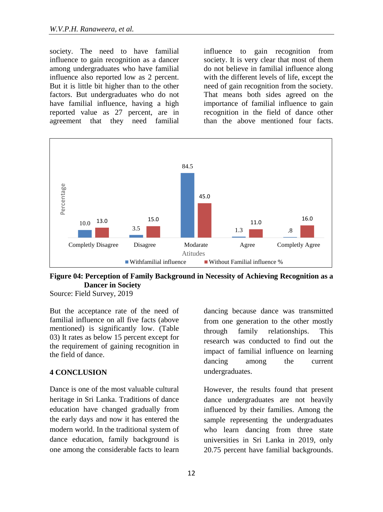society. The need to have familial influence to gain recognition as a dancer among undergraduates who have familial influence also reported low as 2 percent. But it is little bit higher than to the other factors. But undergraduates who do not have familial influence, having a high reported value as 27 percent, are in agreement that they need familial influence to gain recognition from society. It is very clear that most of them do not believe in familial influence along with the different levels of life, except the need of gain recognition from the society. That means both sides agreed on the importance of familial influence to gain recognition in the field of dance other than the above mentioned four facts.



**Figure 04: Perception of Family Background in Necessity of Achieving Recognition as a Dancer in Society**

Source: Field Survey, 2019

But the acceptance rate of the need of familial influence on all five facts (above mentioned) is significantly low. (Table 03) It rates as below 15 percent except for the requirement of gaining recognition in the field of dance.

#### **4 CONCLUSION**

Dance is one of the most valuable cultural heritage in Sri Lanka. Traditions of dance education have changed gradually from the early days and now it has entered the modern world. In the traditional system of dance education, family background is one among the considerable facts to learn dancing because dance was transmitted from one generation to the other mostly through family relationships. This research was conducted to find out the impact of familial influence on learning dancing among the current undergraduates.

However, the results found that present dance undergraduates are not heavily influenced by their families. Among the sample representing the undergraduates who learn dancing from three state universities in Sri Lanka in 2019, only 20.75 percent have familial backgrounds.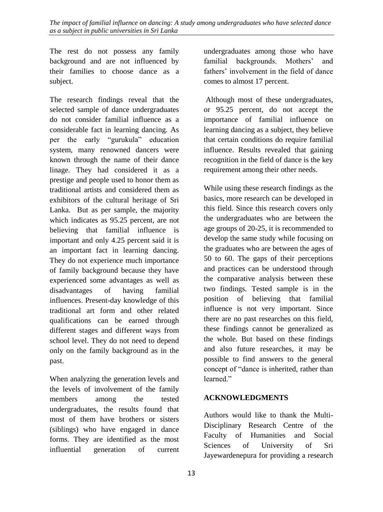The rest do not possess any family background and are not influenced by their families to choose dance as a subject.

The research findings reveal that the selected sample of dance undergraduates do not consider familial influence as a considerable fact in learning dancing. As per the early "gurukula" education system, many renowned dancers were known through the name of their dance linage. They had considered it as a prestige and people used to honor them as traditional artists and considered them as exhibitors of the cultural heritage of Sri Lanka. But as per sample, the majority which indicates as 95.25 percent, are not believing that familial influence is important and only 4.25 percent said it is an important fact in learning dancing. They do not experience much importance of family background because they have experienced some advantages as well as disadvantages of having familial influences. Present-day knowledge of this traditional art form and other related qualifications can be earned through different stages and different ways from school level. They do not need to depend only on the family background as in the past.

When analyzing the generation levels and the levels of involvement of the family members among the tested undergraduates, the results found that most of them have brothers or sisters (siblings) who have engaged in dance forms. They are identified as the most influential generation of current undergraduates among those who have familial backgrounds. Mothers' and fathers' involvement in the field of dance comes to almost 17 percent.

Although most of these undergraduates, or 95.25 percent, do not accept the importance of familial influence on learning dancing as a subject, they believe that certain conditions do require familial influence. Results revealed that gaining recognition in the field of dance is the key requirement among their other needs.

While using these research findings as the basics, more research can be developed in this field. Since this research covers only the undergraduates who are between the age groups of 20-25, it is recommended to develop the same study while focusing on the graduates who are between the ages of 50 to 60. The gaps of their perceptions and practices can be understood through the comparative analysis between these two findings. Tested sample is in the position of believing that familial influence is not very important. Since there are no past researches on this field, these findings cannot be generalized as the whole. But based on these findings and also future researches, it may be possible to find answers to the general concept of "dance is inherited, rather than learned."

# **ACKNOWLEDGMENTS**

Authors would like to thank the Multi-Disciplinary Research Centre of the Faculty of Humanities and Social Sciences of University of Sri Jayewardenepura for providing a research